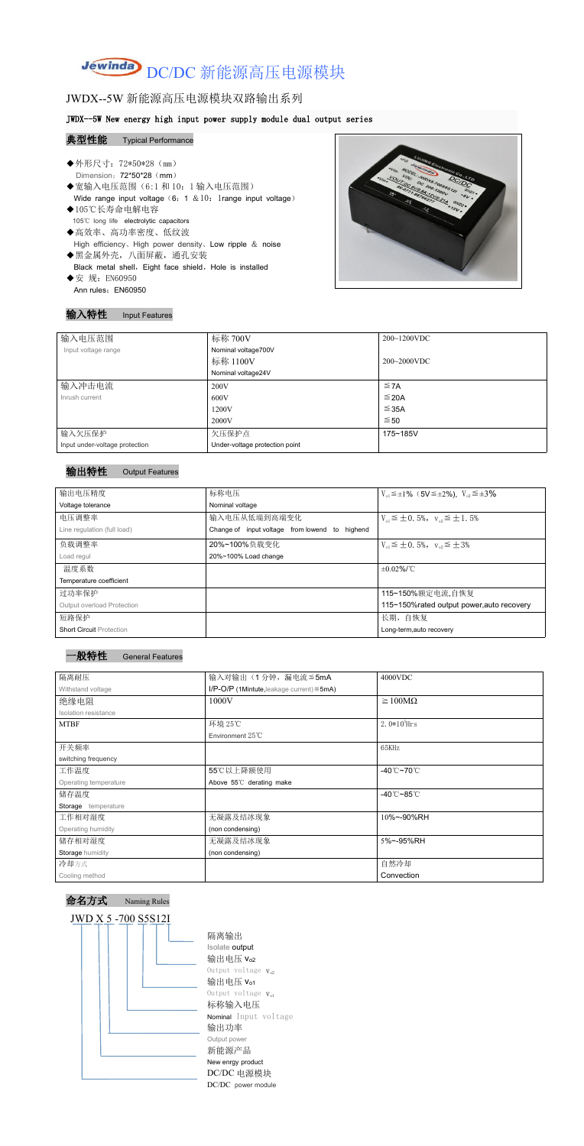# Jewinda DC/DC 新能源高压电源模块

# JWDX--5W 新能源高压电源模块双路输出系列

#### JWDX--5W New energy high input power supply module dual output series

#### 典型性能 Typical Performance

- ◆外形尺寸: 72\*50\*28 (mm) Dimension: 72\*50\*28 (mm) ◆宽输入电压范围(6:1和 10: 1 输入电压范围) Wide range input voltage  $(6: 1 \& 10:1$ range input voltage) ◆105℃长寿命电解电容 105℃ long life electrolytic capacitors
- ◆高效率、高功率密度、低纹波 High efficiency、High power density、Low ripple & noise
- ◆黑金属外壳,八面屏蔽,通孔安装 Black metal shell, Eight face shield, Hole is installed ◆安 规: EN60950
- Ann rules: EN60950



## 输入特性 Input Features

| 输入电压范围                         | 标称 700V                        | $200~1200$ VDC |
|--------------------------------|--------------------------------|----------------|
| Input voltage range            | Nominal voltage700V            |                |
|                                | 标称 1100V                       | 200~2000VDC    |
|                                | Nominal voltage24V             |                |
| 输入冲击电流                         | 200V                           | $\leq$ 7A      |
| Inrush current                 | 600V                           | $\leq$ 20A     |
|                                | 1200V                          | $\leq$ 35A     |
|                                | 2000V                          | ≤ 50           |
| 输入欠压保护                         | 欠压保护点                          | 175~185V       |
| Input under-voltage protection | Under-voltage protection point |                |

#### 输出特性 Output Features



命名方式 Naming Rules



隔离输出 Isolate output 输出电压 vo2 Output voltage  $V_{o2}$ 输出电压  $V_{01}$ Output voltage  $V_{o1}$ 标称输入电压 Nominal Input voltage 输出功率 Output power 新能源产品 New enrgy product DC/DC 电源模块 DC/DC power module

| 输出电压精度                            | 标称电压                                           | $V_{01} \leq \pm 1\%$ (5V $\leq \pm 2\%$ ), $V_{02} \leq \pm 3\%$ |
|-----------------------------------|------------------------------------------------|-------------------------------------------------------------------|
| Voltage tolerance                 | Nominal voltage                                |                                                                   |
| 电压调整率                             | 输入电压从低端到高端变化                                   | $V_{01} \leq \pm 0.5\%$ , $V_{02} \leq \pm 1.5\%$                 |
| Line regulation (full load)       | Change of input voltage from lowend to highend |                                                                   |
| 负载调整率                             | 20%~100%负载变化                                   | $V_{01} \leq \pm 0.5\%$ , $V_{02} \leq \pm 3\%$                   |
| Load regul                        | 20%~100% Load change                           |                                                                   |
| 温度系数                              |                                                | $\pm 0.02\%$ /°C                                                  |
| Temperature coefficient           |                                                |                                                                   |
| 过功率保护                             |                                                | 115~150%额定电流,自恢复                                                  |
| <b>Output overload Protection</b> |                                                | 115~150% rated output power, auto recovery                        |
| 短路保护                              |                                                | 长期, 自恢复                                                           |
| <b>Short Circuit Protection</b>   |                                                | Long-term, auto recovery                                          |

| 隔离耐压                  | 输入对输出(1分钟,漏电流≦5mA                                  | 4000VDC                           |
|-----------------------|----------------------------------------------------|-----------------------------------|
| Withstand voltage     | $I/P$ -O/P (1Mintute, leakage current) $\leq$ 5mA) |                                   |
| 绝缘电阻                  | 1000V                                              | $\geq 100M\Omega$                 |
| Isolation resistance  |                                                    |                                   |
| <b>MTBF</b>           | 环境 25℃                                             | 2.0 $*10^5$ Hrs                   |
|                       | Environment 25°C                                   |                                   |
| 开关频率                  |                                                    | 65KHz                             |
| switching frequency   |                                                    |                                   |
| 工作温度                  | 55℃以上降额使用                                          | -40 $^{\circ}$ C~70 $^{\circ}$ C  |
| Operating temperature | Above 55°C derating make                           |                                   |
| 储存温度                  |                                                    | -40 $^{\circ}$ C ~85 $^{\circ}$ C |
| Storage temperature   |                                                    |                                   |
| 工作相对湿度                | 无凝露及结冰现象                                           | 10%~-90%RH                        |
| Operating humidity    | (non condensing)                                   |                                   |
| 储存相对湿度                | 无凝露及结冰现象                                           | 5%~-95%RH                         |
| Storage humidity      | (non condensing)                                   |                                   |
| 冷却方式                  |                                                    | 自然冷却                              |
| Cooling method        |                                                    | Convection                        |